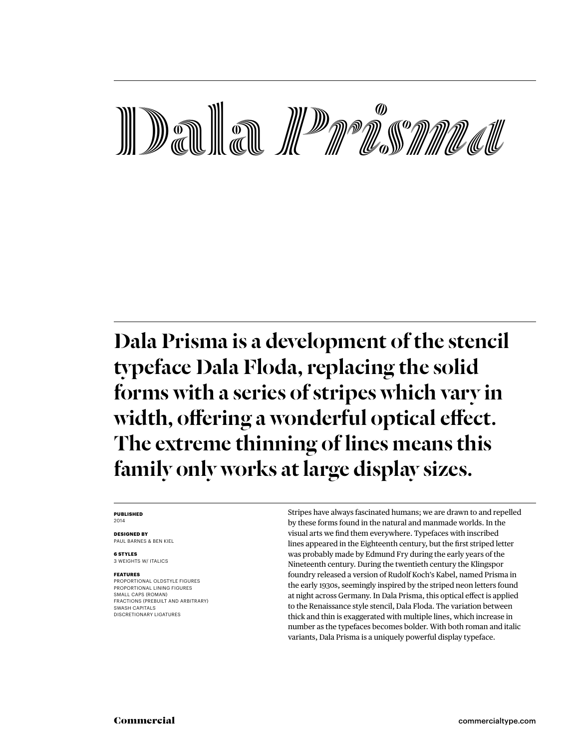# **Deal to the Contract of the Construction of the Construction of the Construction of the Construction of the Construction of the Construction of the Construction of the Construction of the Construction of the Construction**

## Dala Prisma is a development of the stencil typeface Dala Floda, replacing the solid forms with a series of stripes which vary in width, offering a wonderful optical effect. The extreme thinning of lines means this family only works at large display sizes.

#### **Published** 2014

**Designed by** Paul barnes & Ben kiel

**6 styles** 3 weights w/ italics

#### **Features**

proportional oldstyle figures proportional lining figures small caps (roman) fractions (prebuilt and arbitrary) SWASH CAPITALS DISCRETIONARY LIGATURES

Stripes have always fascinated humans; we are drawn to and repelled by these forms found in the natural and manmade worlds. In the visual arts we find them everywhere. Typefaces with inscribed lines appeared in the Eighteenth century, but the first striped letter was probably made by Edmund Fry during the early years of the Nineteenth century. During the twentieth century the Klingspor foundry released a version of Rudolf Koch's Kabel, named Prisma in the early 1930s, seemingly inspired by the striped neon letters found at night across Germany. In Dala Prisma, this optical effect is applied to the Renaissance style stencil, Dala Floda. The variation between thick and thin is exaggerated with multiple lines, which increase in number as the typefaces becomes bolder. With both roman and italic variants, Dala Prisma is a uniquely powerful display typeface.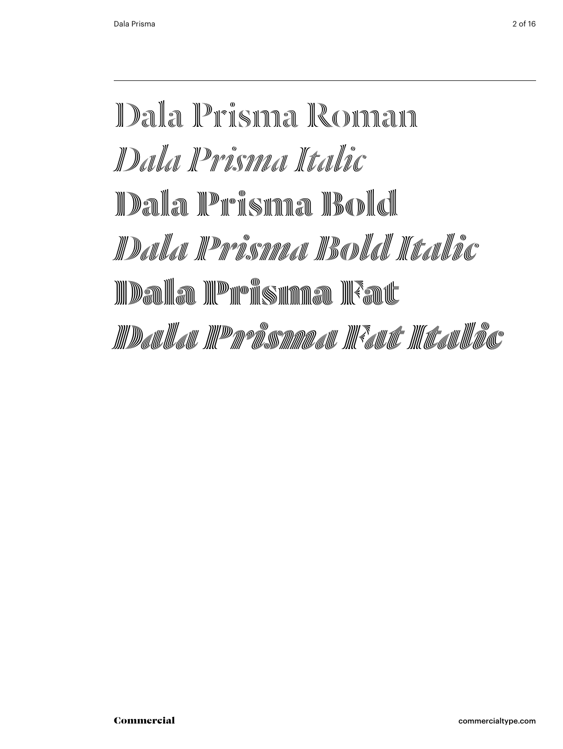## Dala Prisma Roman *Dala Prisma Italic* <u>IDala IPFisinaa IBoldi</u> *Dala Prisma Bold Italic* <u>III Dalia III Peter Sunaa III Faut</u> <u> IIII Dallullall IIII Dava Sammalall IIII <sup>s</sup>allulle III (Italii III ac</u>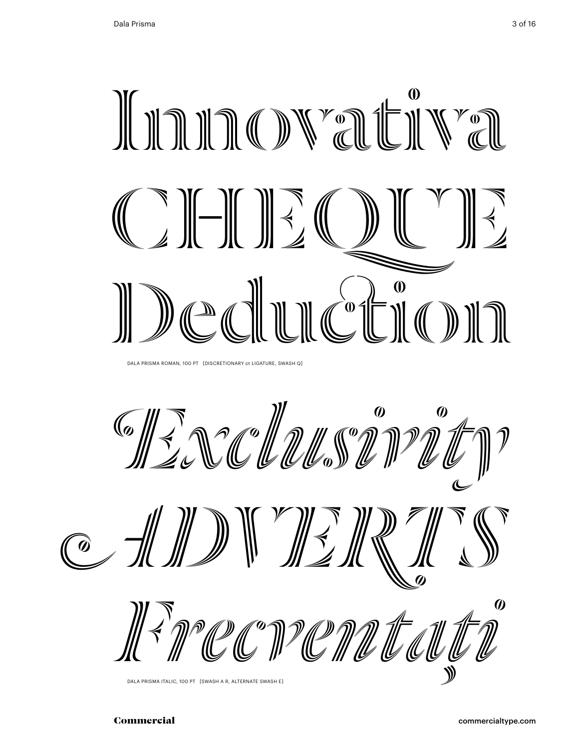

Dala Prisma Roman, 100 Pt [DISCRETIONARY ct LIGATURE, swash q]

Excludes and





Dala Prisma Italic, 100 Pt [swash a r, alternate swash e]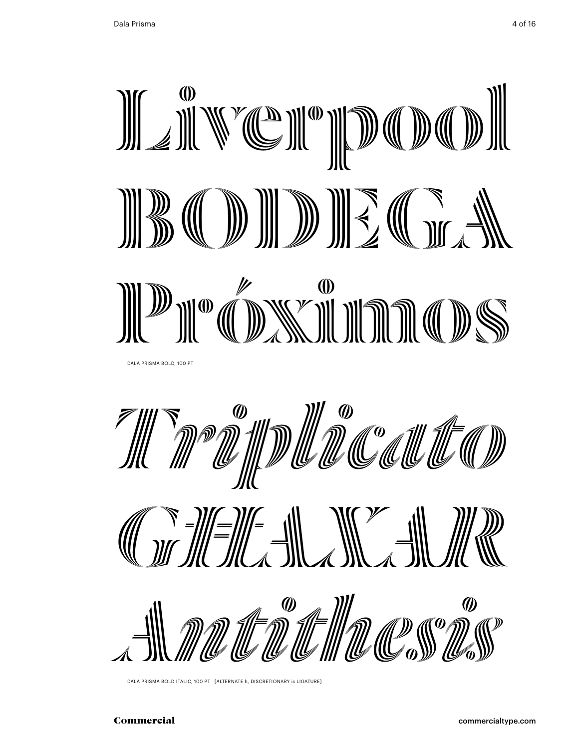







Dala Prisma Bold Italic, 100 Pt [alternate h, discretionary is ligature]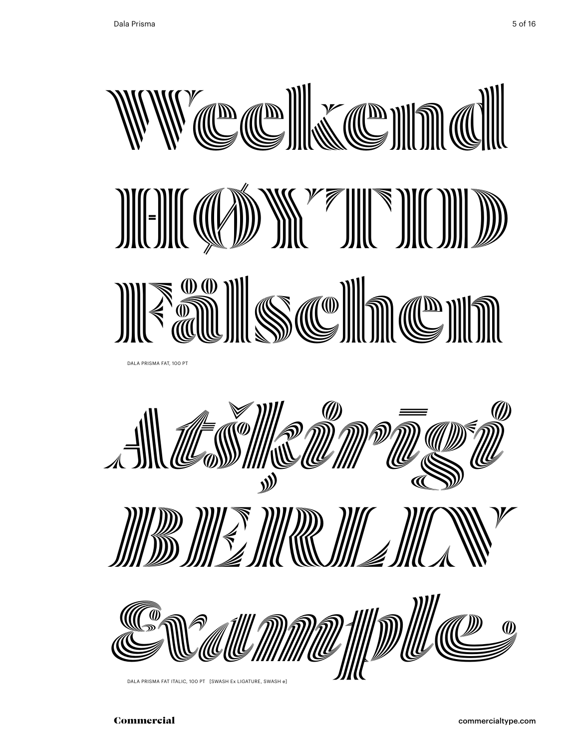

![](_page_4_Picture_2.jpeg)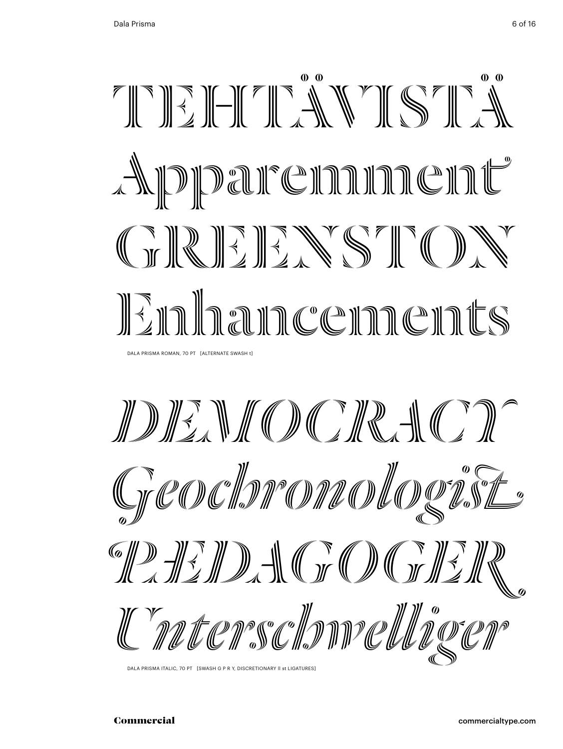![](_page_5_Picture_2.jpeg)

*democracy* Greochromoductist **PARTIZIO A CEO I CELE** Unterschmelliger

DALA PRISMA ITALIC, 70 PT [SWASH G P R Y, DISCRETIONARY II st LIGATURES]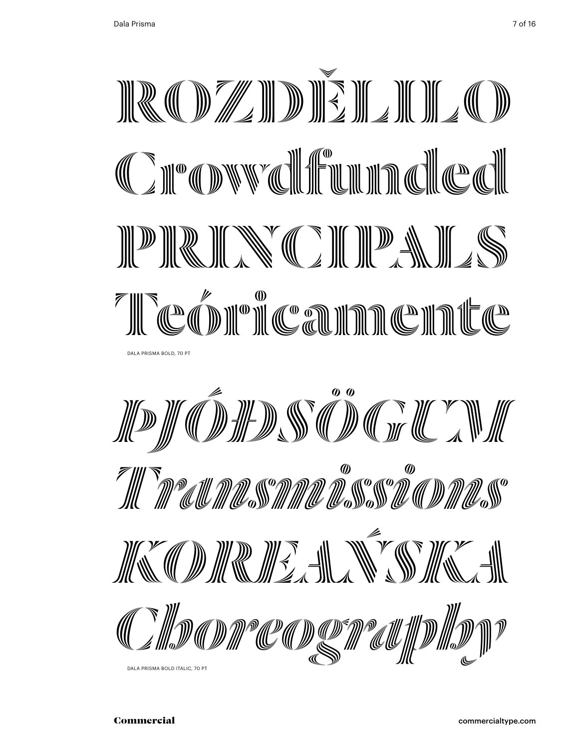![](_page_6_Picture_1.jpeg)

![](_page_6_Picture_2.jpeg)

Dala Prisma Bold Italic, 70 Pt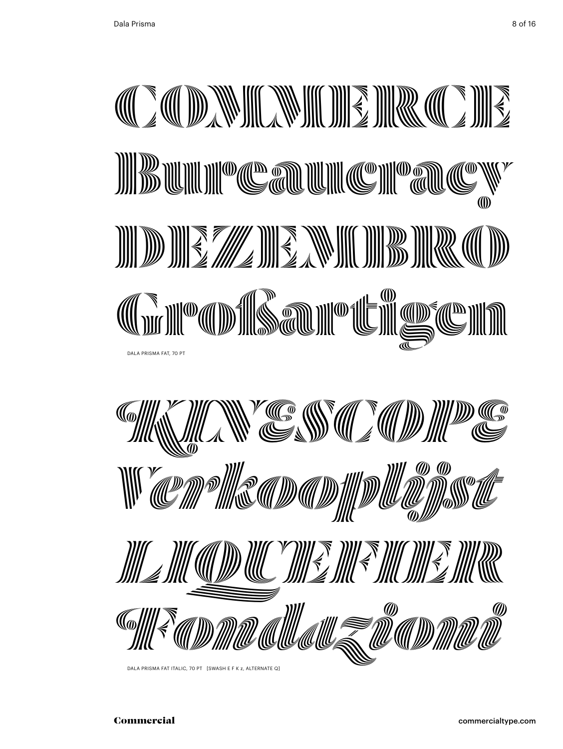![](_page_7_Picture_1.jpeg)

![](_page_7_Picture_2.jpeg)

![](_page_7_Picture_3.jpeg)

Dala Prisma Fat italic, 70 Pt [swash e F k z, alternate q]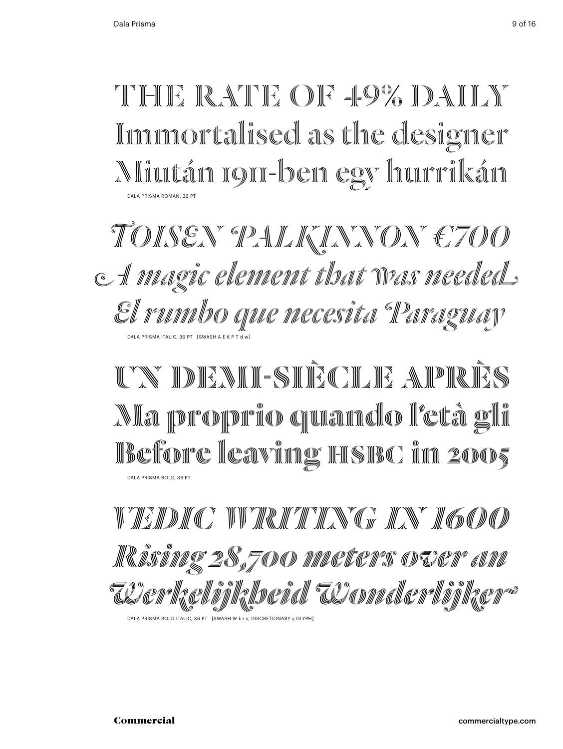THE RATE OF 49% DAILY Immortalised as the designer Miután 1911-ben egy hurrikán Dala Prisma Roman, 36 Pt

*Toisen palkinnon €700 A magic element that was needed El rumbo que necesita Paraguay* DALA PRISMA ITALIC, 36 PT [SWAS

UN DENIH-SIHÈCLE APRÈS <u>Ala proprio quande l'età gli</u> **Before leaving hsbc in 2005** Dala Prisma bold, 36 Pt

*vedic writing in 1600 Rising 28,700 meters over an Werkelijkheid Wonderlijker*

DALA PRISMA BOLD ITALIC, 36 PT [SWASH W k r v, DISCRETIONARY ij GLYPH]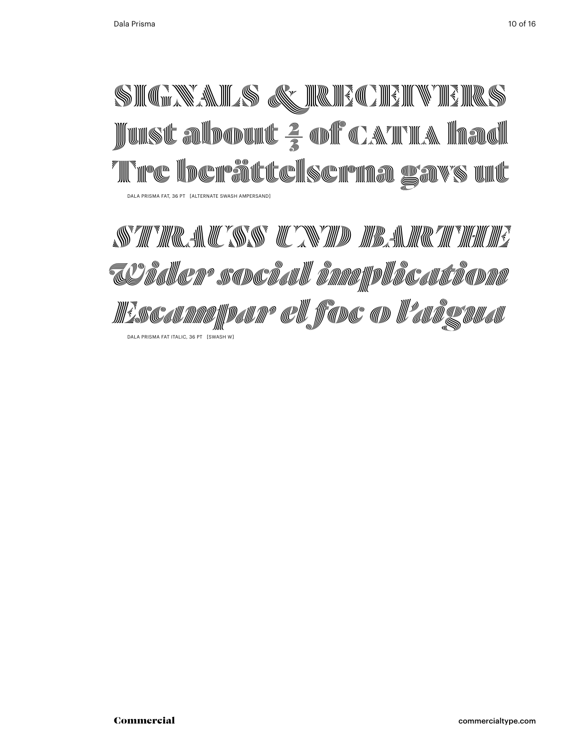## SIMITAS Q IRIQININ IRS Just alborut <del>2</del> of c. Time la la **Till the beates of the final ground and start of the conditions of the control of the control of the control o** Dala Prisma fat, 36 Pt [alternate swash ampersand]

STRAUS <u>AN BARTHER AND BARTHER OF THE STRAUGHT OF THE STRAIGHT OF THE STRAIGHT OF THE STRAIGHT OF THE STRAIGHT OF THE STRAIGHT OF THE STRAIGHT OF THE STRAIGHT OF THE STRAIGHT OF THE STRAIGHT OF THE STRAIGHT OF THE STRAIGHT</u> *Wider social implication Escampar el foc o l'aigua* Dala Prisma fat italic, 36 Pt [swash w]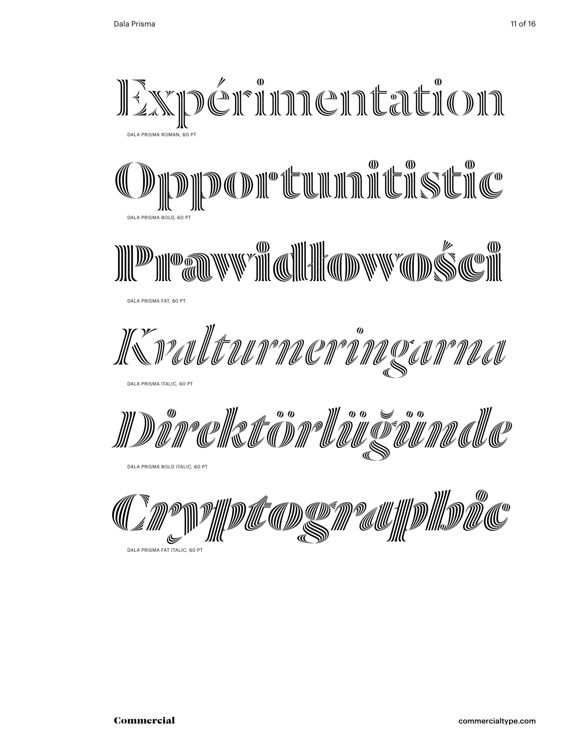![](_page_10_Picture_2.jpeg)

DALA PRISMA FAT ITALIC, 60 PT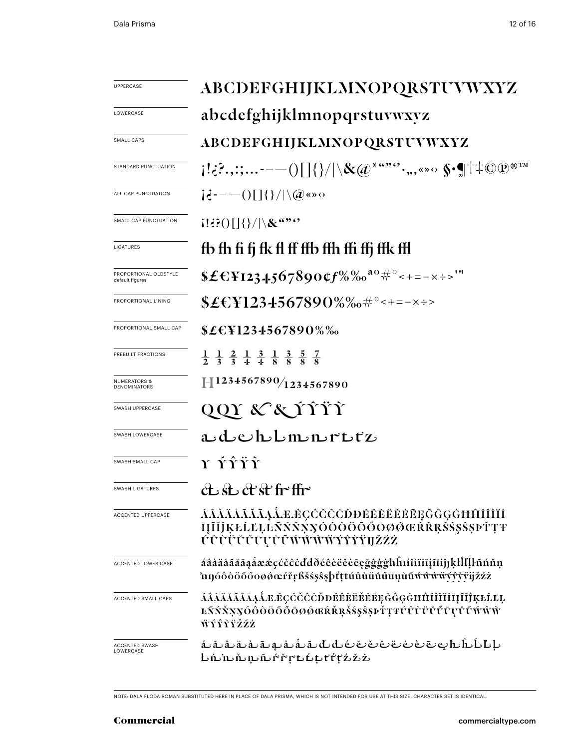| UPPERCASE                                | ABCDEFGHIJKLMNOPQRSTUVWXYZ                                                                                                                       |  |  |
|------------------------------------------|--------------------------------------------------------------------------------------------------------------------------------------------------|--|--|
| LOWERCASE                                | abcdefghijklmnopqrstuvwxyz                                                                                                                       |  |  |
| SMALL CAPS                               | ABCDEFGHIJKLMNOPQRSTUVWXYZ                                                                                                                       |  |  |
| STANDARD PUNCTUATION                     | $\{ \cdot _{\epsilon}:\ldots\text{---}() \} \{\}/ \setminus \&\text{if } \alpha^{\star\epsilon,\bullet\bullet\bullet\bullet},\ldots\text{---} \$ |  |  |
| ALL CAP PUNCTUATION                      | $i\dot{\epsilon}$ = - $-$ ()[]{}/ \@«» $\circ$                                                                                                   |  |  |
| SMALL CAP PUNCTUATION                    | $1!3$ $2$ () $\frac{1}{3}$ / $\&$ $3$ $3$ $3$                                                                                                    |  |  |
| LIGATURES                                | fb fh fi fj fk fl ff ffb ffh ffi ffj ffk ffl                                                                                                     |  |  |
| PROPORTIONAL OLDSTYLE<br>default figures | \$£€¥1234.567890¢f%‰ <sup>ao</sup> #°<+=-×÷>'"                                                                                                   |  |  |
| PROPORTIONAL LINING                      | ${\$E{\&1234567890\%}\%o\#°<+=-x}\;$                                                                                                             |  |  |
| PROPORTIONAL SMALL CAP                   | $$£EY1234567890\%$ %                                                                                                                             |  |  |
| PREBUILT FRACTIONS                       | $\frac{1}{2}$ $\frac{1}{3}$ $\frac{2}{3}$ $\frac{1}{4}$ $\frac{3}{8}$ $\frac{1}{8}$ $\frac{3}{8}$ $\frac{5}{8}$ $\frac{7}{8}$                    |  |  |
| <b>NUMERATORS &amp;</b><br>DENOMINATORS  | $\mathbb{H}^{1234567890/1234567890}$                                                                                                             |  |  |
| <b>SWASH UPPERCASE</b>                   | QQY & & TTT                                                                                                                                      |  |  |
| SWASH LOWERCASE                          | adehbmmrttz                                                                                                                                      |  |  |
| SWASH SMALL CAP                          | Y ÝŶŸŶ                                                                                                                                           |  |  |
| <b>SWASH LIGATURES</b>                   | ct st ct st fr ffr                                                                                                                               |  |  |
| ACCENTED UPPERCASE                       | ÁÂÀÄÅÃĂĀĄÅÆÆÇĆČĈŎĐÉÊÈËĔĔEĘĞĜĢĠĦĤÍÎÌÏİ<br>ĪĮĨĬĴĶŁĹĽĻĿÑŃŇŅŊÓÔŎŎŎŎŎØŒŔŘŖŠŚŞŜŞÞŤŢŦ<br><b>ÚŨŨŰŬŰŪŲŮŨŴŴŴŴŶŶŶŸIJŽŹŻ</b>                                 |  |  |
| ACCENTED LOWER CASE                      | áâàäåããāąåææçćčĉċďđðéêèëěēęğĝģġhĥıíîìïiīįĩiĵjķłĺľļŀñńňņ<br>'nŋóôòöõőōøøœŕřŗßšśşŝşþťṭŧúûùüŭűūụůũẃŵŵẅýŷỳÿijžźż                                     |  |  |
| ACCENTED SMALL CAPS                      | ĹÂÀÄÅĂĂĂĄÅÆÉÇĆČĈĊĎĐÉÊÈËĔĔĘĞĜĢĠĦĤÍÎÌĬĪĮĨĬĴĶŁĹĽĻ<br>ĿŃŃŇŅŊŎŎŎŎŎŎŎŎŎŒŔŘŖŠŚŞŜŖŀŤŢŦŰŮŨŬŮŨŢŮŨŴŴŴ<br><b>ŴÝŶŶŸŽŹŻ</b>                                    |  |  |
| ACCENTED SWASH<br>LOWERCASE              | ₺'n'nﯩĔﯩ׆׆֖֖֖֖֖֖֖֖֖֖֟׀׆֖֖֖֖֖֖֖֖֖֖֖֟׀֡׆֖֛֖֖֖֖׆֖֩׀׆֖֖֖֖֖֖֖֖֖֖׀                                                                                     |  |  |

note: dala floda roman substituted Here in place of dala prisma, wHicH is not intended for use at tHis size. cHaracter set is identical.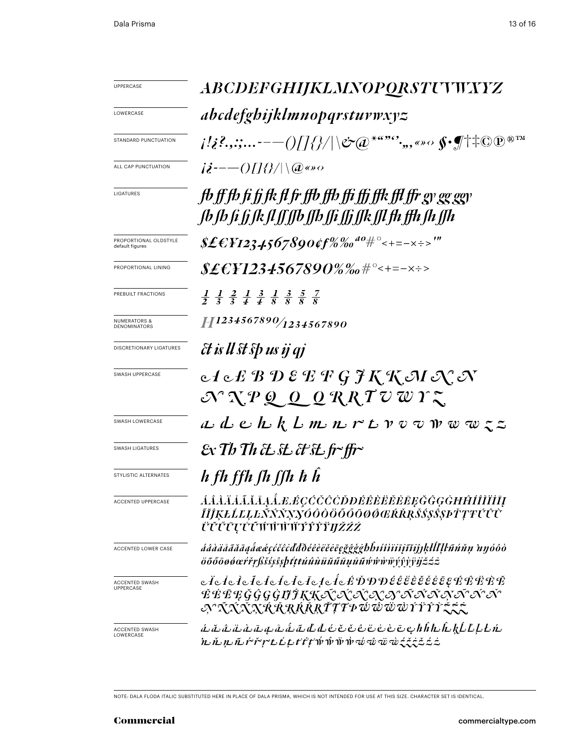| <b>UPPERCASE</b>                          | <i>ABCDEFGHIJKLMNOPQRSTUWXYZ</i>                                                                                                                                                                                                                                                                                                                                   |  |  |
|-------------------------------------------|--------------------------------------------------------------------------------------------------------------------------------------------------------------------------------------------------------------------------------------------------------------------------------------------------------------------------------------------------------------------|--|--|
| LOWERCASE                                 | abcdefghijklmnopqrstuvwxyz                                                                                                                                                                                                                                                                                                                                         |  |  |
| STANDARD PUNCTUATION                      | $\{ \langle i^2_i, \ldots \cdot - - () / \rangle / \rangle / \setminus$ &@*"" $^o$ ,,,«» $\circ \oint$ of†‡ $\mathbb{O} \mathbb{P}^{\mathbb{P}^{\mathrm{TM}}}$                                                                                                                                                                                                     |  |  |
| ALL CAP PUNCTUATION                       | $i\dot{\mathbf{i}}$ --- $\bigcirc$ [[{ $\mathcal{V}$  \@«» $\circ$                                                                                                                                                                                                                                                                                                 |  |  |
| LIGATURES                                 | fb ff fb fi fi fk fl fr ffb ffb ffi ffi ffk ffl ffr gy gg ggy<br>fb fb fi fj fk fl ff ffb ffb ffi ffi ffk ffl fh ffh fh ffh                                                                                                                                                                                                                                        |  |  |
| PROPORTIONAL OLDSTYLE<br>default figures  | \$£€¥1234567890¢f%‰ <sup>40</sup> #°<+=-×÷>'"                                                                                                                                                                                                                                                                                                                      |  |  |
| PROPORTIONAL LINING                       | \$£€¥1234567890%‰#°<+=-×÷>                                                                                                                                                                                                                                                                                                                                         |  |  |
| PREBUILT FRACTIONS                        | $\frac{1}{2}$ $\frac{1}{3}$ $\frac{2}{3}$ $\frac{1}{4}$ $\frac{3}{4}$ $\frac{1}{8}$ $\frac{3}{8}$ $\frac{5}{8}$ $\frac{7}{8}$                                                                                                                                                                                                                                      |  |  |
| <b>NUMERATORS &amp;</b><br>DENOMINATORS   | $\left  \frac{1}{2} \right $ 1234567890/1234567890                                                                                                                                                                                                                                                                                                                 |  |  |
| <b>DISCRETIONARY LIGATURES</b>            | <i>Et is ll st sp us ij qj</i>                                                                                                                                                                                                                                                                                                                                     |  |  |
| SWASH UPPERCASE                           | $c$ $f$ $c$ $E$ ${\mathcal{B}}$ ${\mathcal{D}}$ ${\mathcal{E}}$ ${\mathcal{F}}$ ${\mathcal{G}}$ ${\mathcal{F}}$ ${\mathcal{K}}$ ${\mathcal{K}}$ ${\mathcal{M}}$ ${\mathcal{N}}$ ${\mathcal{N}}$<br>$\mathcal{N} \chi p \varrho \underline{\rho} \underline{\rho} \underline{\rho} \chi R \overline{\chi} \overline{\nu} \overline{\omega} \gamma \overline{\zeta}$ |  |  |
| SWASH LOWERCASE                           | $a$ d e h $k$ l $m$ n $r$ t $v$ v $v$ w $w$ $\in$ $z$                                                                                                                                                                                                                                                                                                              |  |  |
| <b>SWASH LIGATURES</b>                    | Ex Th Th & St & St fr~ffr~                                                                                                                                                                                                                                                                                                                                         |  |  |
| STYLISTIC ALTERNATES                      | $h$ fh ffh fh ffh $h$                                                                                                                                                                                                                                                                                                                                              |  |  |
| ACCENTED UPPERCASE                        | ĹĹĹĹĬĹĹĹĹĻĹŁÉÇĆČĈŎĎĐÉÊÈĔĔĔĘĞĜĢĠĦĤÍÎĨĬĬĮ<br>ĨĬĴĶŁĹĽĻĿŃŃŇŊŊŎŎŎŎŎŎŌØŒŔŘŖŠŚŞŜŞÞŤŢŦŰŨŨ<br><i>ÜŬŰŪŲŮŨ</i> ŴŴŴŸŶŶ <i>ŸIJŽŹŻ</i>                                                                                                                                                                                                                                           |  |  |
| <b>ACCENTED LOWER CASE</b>                | áâàäåããāaẩæéçćčĉċďđðéêèëěēęğĝģġbĥıíîìïījĩĭiĵjķŀĺľḷŀñńňņ nyóôò<br>$\ddot{o} \tilde{o} \tilde{o} \tilde{o} \phi \alpha$ r̃r̃fsšss $s$ sht $t$ túûù $\ddot{u} \tilde{u} \tilde{u} \tilde{u} \tilde{u} \mu \tilde{u} \tilde{u}$ wŵŵ $\ddot{y} \dot{\gamma} \dot{\gamma} \dot{\gamma} \ddot{\gamma} \ddot{\gamma} \ddot{\gamma} \ddot{z} \dot{z}$                       |  |  |
| <b>ACCENTED SWASH</b><br><b>UPPERCASE</b> | cİclelelelelelelelele£ĎĐĐÉÊËËĚĚĒĘÉËËËŘ<br><i>ĚĖĒĘĞĜGĠI<del>ĴKKĄ</del>ŎŎŎŎŖŊŴŇŇŅŇŇ</i> Ŷ<br>Ņ^ĄŔŃŖŔŔŖŔŖĬŢŦÞŴŴŴIJŶŸŶŘ <del>ŔŔ</del>                                                                                                                                                                                                                                  |  |  |
| ACCENTED SWASH<br>LOWERCASE               | <i>ن «تى ئا باق با باق باش باق بال بال بان ف ۋ بۇ ق بۇ باق باق باق بال بال بال بال بال باق باق</i><br>ᡅ <i>ᡝᡅᡕᡅᡏᡅᡤ᠈ᢞᡎ᠊ᡄ᠘᠊ᢩᡄ᠊ᡟᡲᡃᡛ</i> ᠊ᡤᠡᡥᡝ᠉ᡝᠠ᠂᠊ᡝᡠᢁᡠ᠊ᡂᢆ᠊ᡕᡈᢩᡷᢩᡲᡱᡱᡱᡱ                                                                                                                                                                                                  |  |  |

note: dala floda italic substituted Here in place of dala prisma, wHicH is not intended for use at tHis size. cHaracter set is identical.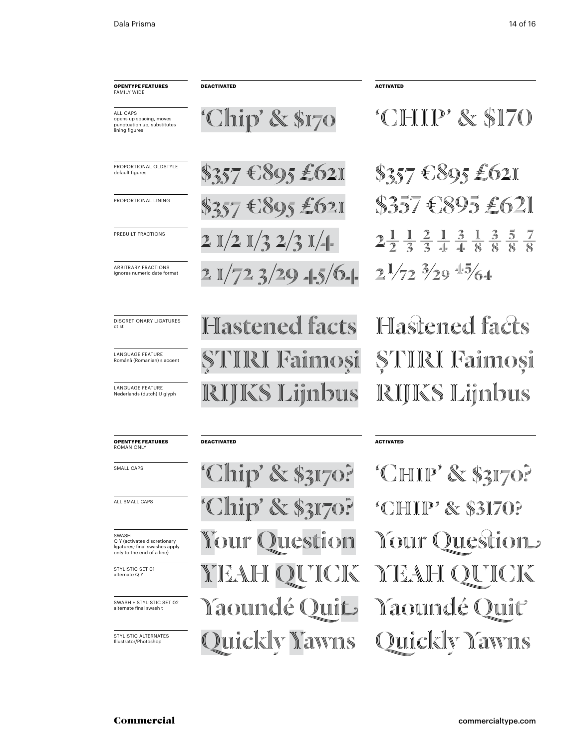| <b>OPENTYPE FEATURES</b><br><b>FAMILY WIDE</b>                                                        | DEACTIVATED                                              | <b>ACTIVATED</b>                                                                                                               |  |
|-------------------------------------------------------------------------------------------------------|----------------------------------------------------------|--------------------------------------------------------------------------------------------------------------------------------|--|
| ALL CAPS<br>opens up spacing, moves<br>punctuation up, substitutes<br>lining figures                  | 'Chip' & \$170                                           | <i>CHIP' &amp; SI70</i>                                                                                                        |  |
| PROPORTIONAL OLDSTYLE<br>default figures                                                              | $s_{357}$ $\epsilon$ $s_{95}$ $\epsilon$ 621             | $\$357$ $$895$ $$62$                                                                                                           |  |
| PROPORTIONAL LINING                                                                                   | $s_{357}$ $\epsilon$ $s_{95}$ $\epsilon$ $62$ $\epsilon$ | \$357 CS95 £621                                                                                                                |  |
| PREBUILT FRACTIONS                                                                                    | $2$ )(2)(3 $2/3$ )( $=$                                  | $2\frac{1}{2}$ $\frac{1}{3}$ $\frac{2}{3}$ $\frac{1}{4}$ $\frac{3}{8}$ $\frac{1}{8}$ $\frac{3}{8}$ $\frac{5}{8}$ $\frac{7}{8}$ |  |
| <b>ARBITRARY FRACTIONS</b><br>ignores numeric date format                                             | $2$ $1/72$ $3/29$ $=$ $5/0$ $=$                          | $2^{1/72}$ $3/29$ $15/6$                                                                                                       |  |
| <b>DISCRETIONARY LIGATURES</b><br>ct st                                                               | Hastened facts                                           | Hastened facts                                                                                                                 |  |
| <b>LANGUAGE FEATURE</b><br>Română (Romanian) s accent                                                 | <b>STIRI Fainnosi</b>                                    | <b>STIIRI Fainnoşi</b>                                                                                                         |  |
| <b>LANGUAGE FEATURE</b><br>Nederlands (dutch) IJ glyph                                                | <b>RIJKS Lijnbus</b>                                     | RIJKS Lijnbus                                                                                                                  |  |
| <b>OPENTYPE FEATURES</b><br><b>ROMAN ONLY</b>                                                         | <b>DEACTIVATED</b>                                       | <b>ACTIVATED</b>                                                                                                               |  |
| <b>SMALL CAPS</b>                                                                                     | <b>Chip' &amp; \$3170?</b>                               | "CHIP" & \$3170?                                                                                                               |  |
| ALL SMALL CAPS                                                                                        | <i><b>Chip' &amp; \$3170?</b></i>                        | "CHIP" & \$3170?                                                                                                               |  |
| SWASH<br>Q Y (activates discretionary<br>ligatures; final swashes apply<br>only to the end of a line) | <b>NOUU</b><br><b>ULCSULOIN</b>                          | $\mathbb{C}$ on $\mathbb{C}$<br>Ducstion<br>«                                                                                  |  |
| STYLISTIC SET 01                                                                                      | VYE<br>∭∟∐<br>A FYKA LY<br>N                             |                                                                                                                                |  |

## 'Chip' & \$170

#### **opentype FEATUREs** roman only

STYLISTIC SET 01 alternate Q Y

swash + STYLISTIC SET 02 alternate final swash t

STYLISTIC ALTERNATES<br>Illustrator/Photoshop

'Chip' & \$3170? 'Chip' & \$3170? **Your Question** YEAH QUICK Yaoundé Quit Yaoundé Quit

### **ACTIVATED**

**Nour Question** YEAH QUICK 'Chip' & \$3170? 'Chip' & \$3170? Illustrator/Photoshop Quickly Yawns Quickly Yawns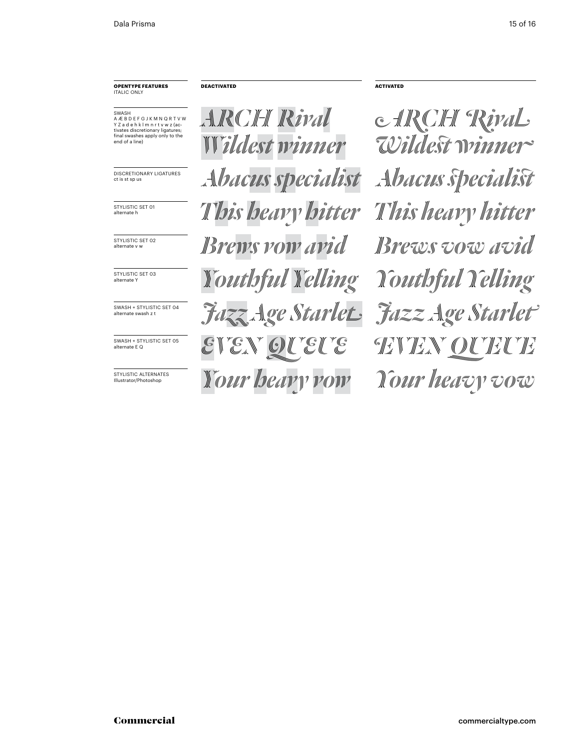#### **opentype FEATUREs** italic only

swash A Æ B D E F G J K M N Q R T V W Y Z a d e h k l m n r t v w z (ac-tivates discretionary ligatures; final swashes apply only to the end of a line)

DIscRETIONaRY lIGaTUREs ct is st sp us

STYLISTIC SET 01 alternate h

STYLISTIC SET 02 alternate v w

STYLISTIC SET 03 alternate \

swash + STYLISTIC SET 04 alternate swash z t

swash + STYLISTIC SET 05 alternate E Q

STYLISTIC ALTERNATES Illustrator/Photoshop

*arch Rival Wildest winner Abacus specialist Abacus specialist This heavy hitter Your heavy vow Your heavy vow Brews vow avid Brews vow avid Youthful Yelling Jazz Age Starlet*

*arch Rival Wildest winner This heavy hitter Even queue even queue Jazz Age Starlet Youthful Yelling*